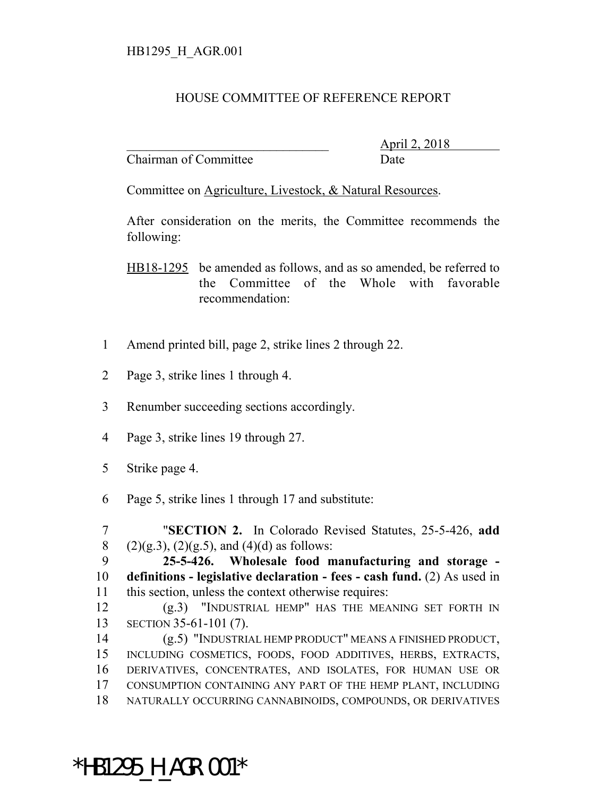## HB1295\_H\_AGR.001

## HOUSE COMMITTEE OF REFERENCE REPORT

Chairman of Committee Date

\_\_\_\_\_\_\_\_\_\_\_\_\_\_\_\_\_\_\_\_\_\_\_\_\_\_\_\_\_\_\_ April 2, 2018

Committee on Agriculture, Livestock, & Natural Resources.

After consideration on the merits, the Committee recommends the following:

HB18-1295 be amended as follows, and as so amended, be referred to the Committee of the Whole with favorable recommendation:

- 1 Amend printed bill, page 2, strike lines 2 through 22.
- 2 Page 3, strike lines 1 through 4.
- 3 Renumber succeeding sections accordingly.
- 4 Page 3, strike lines 19 through 27.
- 5 Strike page 4.
- 6 Page 5, strike lines 1 through 17 and substitute:

7 "**SECTION 2.** In Colorado Revised Statutes, 25-5-426, **add** 8 (2)(g.3), (2)(g.5), and (4)(d) as follows:

9 **25-5-426. Wholesale food manufacturing and storage -** 10 **definitions - legislative declaration - fees - cash fund.** (2) As used in 11 this section, unless the context otherwise requires:

12 (g.3) "INDUSTRIAL HEMP" HAS THE MEANING SET FORTH IN 13 SECTION 35-61-101 (7).

 (g.5) "INDUSTRIAL HEMP PRODUCT" MEANS A FINISHED PRODUCT, INCLUDING COSMETICS, FOODS, FOOD ADDITIVES, HERBS, EXTRACTS, DERIVATIVES, CONCENTRATES, AND ISOLATES, FOR HUMAN USE OR CONSUMPTION CONTAINING ANY PART OF THE HEMP PLANT, INCLUDING NATURALLY OCCURRING CANNABINOIDS, COMPOUNDS, OR DERIVATIVES

\*HB1295 H AGR.001\*